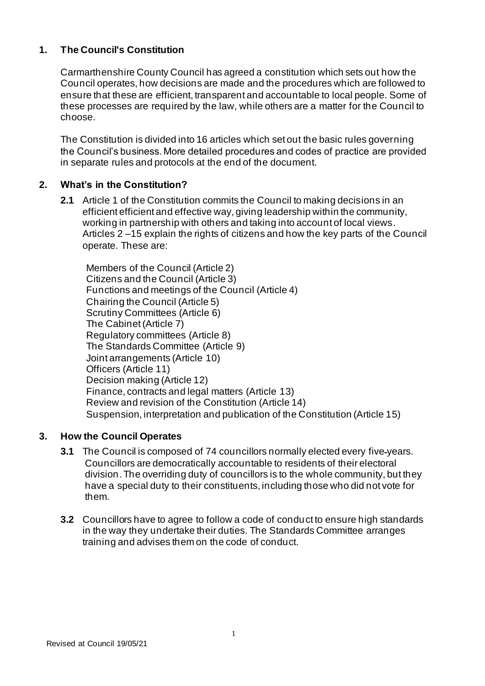## **1. The Council's Constitution**

Carmarthenshire County Council has agreed a constitution which sets out how the Council operates, how decisions are made and the procedures which are followed to ensure that these are efficient, transparent and accountable to local people. Some of these processes are required by the law, while others are a matter for the Council to choose.

The Constitution is divided into 16 articles which set out the basic rules governing the Council's business. More detailed procedures and codes of practice are provided in separate rules and protocols at the end of the document.

## **2. What's in the Constitution?**

**2.1** Article 1 of the Constitution commits the Council to making decisions in an efficient efficient and effective way, giving leadership within the community, working in partnership with others and taking into account of local views. Articles 2 –15 explain the rights of citizens and how the key parts of the Council operate. These are:

Members of the Council (Article 2) Citizens and the Council (Article 3) Functions and meetings of the Council (Article 4) Chairing the Council (Article 5) Scrutiny Committees (Article 6) The Cabinet(Article 7) Regulatory committees (Article 8) The Standards Committee (Article 9) Joint arrangements (Article 10) Officers (Article 11) Decision making (Article 12) Finance, contracts and legal matters (Article 13) Review and revision of the Constitution (Article 14) Suspension, interpretation and publication of the Constitution (Article 15)

## **3. How the Council Operates**

- **3.1** The Council is composed of 74 councillors normally elected every five-years. Councillors are democratically accountable to residents of their electoral division. The overriding duty of councillors is to the whole community, but they have a special duty to their constituents, including those who did not vote for them.
- **3.2** Councillors have to agree to follow a code of conduct to ensure high standards in the way they undertake their duties. The Standards Committee arranges training and advises them on the code of conduct.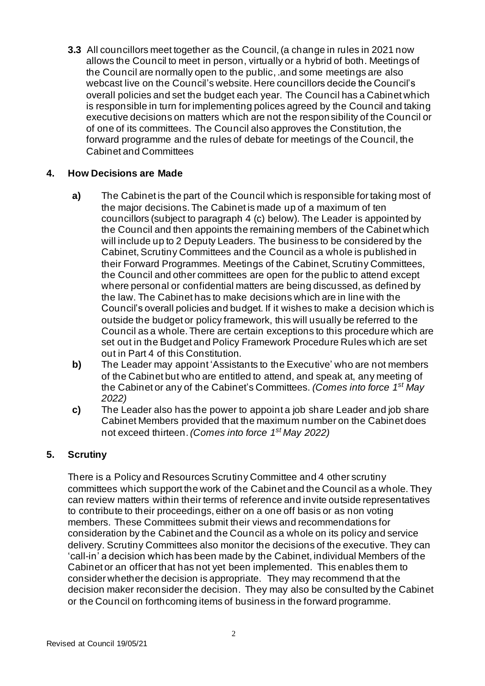**3.3** All councillors meet together as the Council, (a change in rules in 2021 now allows the Council to meet in person, virtually or a hybrid of both. Meetings of the Council are normally open to the public, .and some meetings are also webcast live on the Council's website. Here councillors decide the Council's overall policies and set the budget each year. The Council has a Cabinet which is responsible in turn for implementing polices agreed by the Council and taking executive decisions on matters which are not the responsibility of the Council or of one of its committees. The Council also approves the Constitution, the forward programme and the rules of debate for meetings of the Council, the Cabinet and Committees

### **4. How Decisions are Made**

- **a)** The Cabinet is the part of the Council which is responsible for taking most of the major decisions. The Cabinet is made up of a maximum of ten councillors (subject to paragraph 4 (c) below). The Leader is appointed by the Council and then appoints the remaining members of the Cabinet which will include up to 2 Deputy Leaders. The business to be considered by the Cabinet, Scrutiny Committees and the Council as a whole is published in their Forward Programmes. Meetings of the Cabinet, Scrutiny Committees, the Council and other committees are open for the public to attend except where personal or confidential matters are being discussed, as defined by the law. The Cabinet has to make decisions which are in line with the Council's overall policies and budget. If it wishes to make a decision which is outside the budget or policy framework, this will usually be referred to the Council as a whole. There are certain exceptions to this procedure which are set out in the Budget and Policy Framework Procedure Rules which are set out in Part 4 of this Constitution.
- **b)** The Leader may appoint 'Assistants to the Executive' who are not members of the Cabinet but who are entitled to attend, and speak at, any meeting of the Cabinet or any of the Cabinet's Committees. *(Comes into force 1 st May 2022)*
- **c)** The Leader also has the power to appoint a job share Leader and job share Cabinet Members provided that the maximum number on the Cabinet does not exceed thirteen.*(Comes into force 1 st May 2022)*

## **5. Scrutiny**

There is a Policy and Resources Scrutiny Committee and 4 other scrutiny committees which support the work of the Cabinet and the Council as a whole. They can review matters within their terms of reference and invite outside representatives to contribute to their proceedings, either on a one off basis or as non voting members. These Committees submit their views and recommendations for consideration by the Cabinet and the Council as a whole on its policy and service delivery. Scrutiny Committees also monitor the decisions of the executive. They can 'call-in' a decision which has been made by the Cabinet, individual Members of the Cabinet or an officer that has not yet been implemented. This enables them to consider whether the decision is appropriate. They may recommend that the decision maker reconsider the decision. They may also be consulted by the Cabinet or the Council on forthcoming items of business in the forward programme.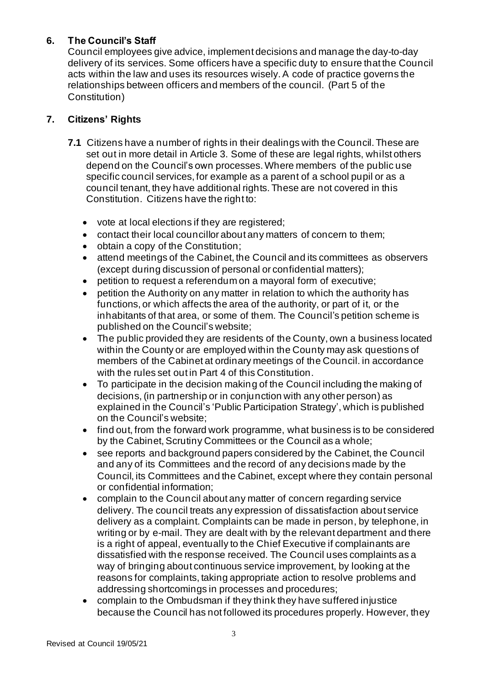# **6. The Council's Staff**

Council employees give advice, implement decisions and manage the day-to-day delivery of its services. Some officers have a specific duty to ensure that the Council acts within the law and uses its resources wisely. A code of practice governs the relationships between officers and members of the council. (Part 5 of the Constitution)

## **7. Citizens' Rights**

- **7.1** Citizens have a number of rights in their dealings with the Council. These are set out in more detail in Article 3. Some of these are legal rights, whilst others depend on the Council's own processes. Where members of the public use specific council services, for example as a parent of a school pupil or as a council tenant, they have additional rights. These are not covered in this Constitution. Citizens have the right to:
	- vote at local elections if they are registered;
	- contact their local councillor about any matters of concern to them;
	- obtain a copy of the Constitution;
	- attend meetings of the Cabinet, the Council and its committees as observers (except during discussion of personal or confidential matters);
	- petition to request a referendum on a mayoral form of executive;
	- petition the Authority on any matter in relation to which the authority has functions, or which affects the area of the authority, or part of it, or the inhabitants of that area, or some of them. The Council's petition scheme is published on the Council's website;
	- The public provided they are residents of the County, own a business located within the County or are employed within the County may ask questions of members of the Cabinet at ordinary meetings of the Council. in accordance with the rules set out in Part 4 of this Constitution.
	- To participate in the decision making of the Council including the making of decisions, (in partnership or in conjunction with any other person) as explained in the Council's 'Public Participation Strategy', which is published on the Council's website;
	- find out, from the forward work programme, what business is to be considered by the Cabinet, Scrutiny Committees or the Council as a whole;
	- see reports and background papers considered by the Cabinet, the Council and any of its Committees and the record of any decisions made by the Council, its Committees and the Cabinet, except where they contain personal or confidential information;
	- complain to the Council about any matter of concern regarding service delivery. The council treats any expression of dissatisfaction about service delivery as a complaint. Complaints can be made in person, by telephone, in writing or by e-mail. They are dealt with by the relevant department and there is a right of appeal, eventually to the Chief Executive if complainants are dissatisfied with the response received. The Council uses complaints as a way of bringing about continuous service improvement, by looking at the reasons for complaints, taking appropriate action to resolve problems and addressing shortcomings in processes and procedures;
	- complain to the Ombudsman if they think they have suffered injustice because the Council has not followed its procedures properly. However, they